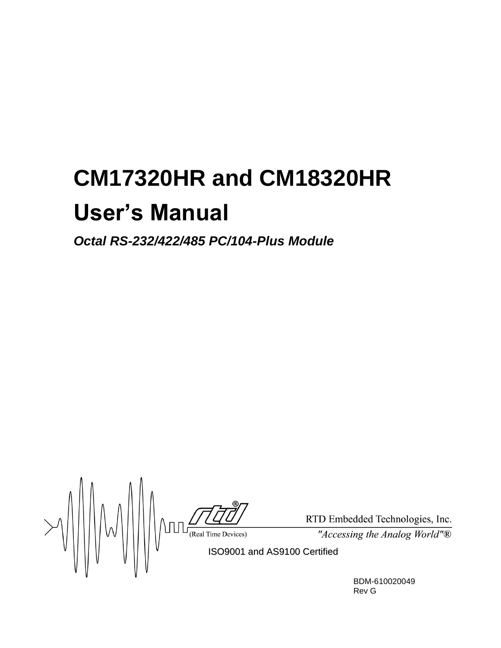# **CM17320HR and CM18320HR User's Manual**

*Octal RS-232/422/485 PC/104-Plus Module*

 $\sqrt{\frac{\sqrt{Z}}{N}}$  RTD Em ISO9001 and AS9100 Certified

RTD Embedded Technologies, Inc.

"Accessing the Analog World"®

BDM-610020049 Rev G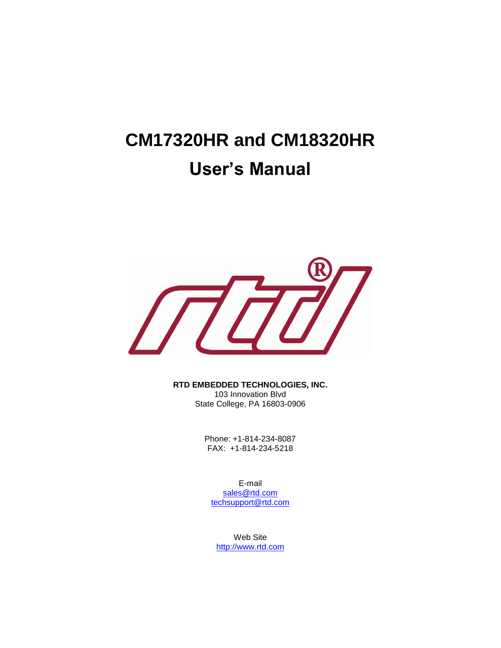# **CM17320HR and CM18320HR User's Manual**



**RTD EMBEDDED TECHNOLOGIES, INC.**  103 Innovation Blvd

State College, PA 16803-0906

Phone: +1-814-234-8087 FAX: +1-814-234-5218

E-mail [sales@rtd.com](mailto:sales@rtd.com) [techsupport@rtd.com](mailto:techsupport@rtd.com)

Web Site [http://www.rtd.com](http://www.rtd.com/)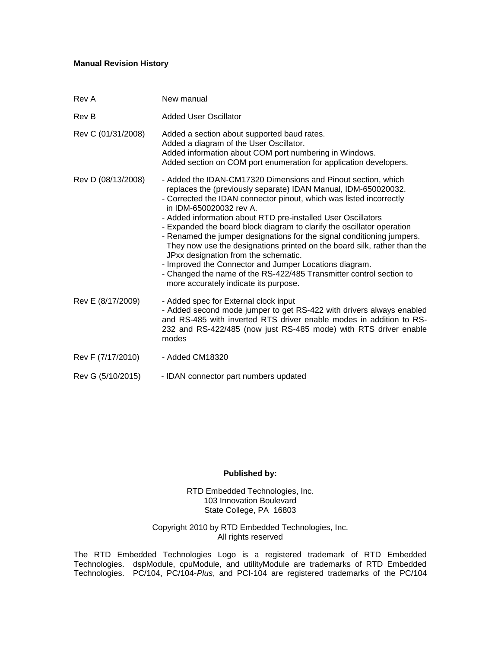#### **Manual Revision History**

| Rev A              | New manual                                                                                                                                                                                                                                                                                                                                                                                                                                                                                                                                                                                                                                                                                                                                          |
|--------------------|-----------------------------------------------------------------------------------------------------------------------------------------------------------------------------------------------------------------------------------------------------------------------------------------------------------------------------------------------------------------------------------------------------------------------------------------------------------------------------------------------------------------------------------------------------------------------------------------------------------------------------------------------------------------------------------------------------------------------------------------------------|
| Rev B              | <b>Added User Oscillator</b>                                                                                                                                                                                                                                                                                                                                                                                                                                                                                                                                                                                                                                                                                                                        |
| Rev C (01/31/2008) | Added a section about supported baud rates.<br>Added a diagram of the User Oscillator.<br>Added information about COM port numbering in Windows.<br>Added section on COM port enumeration for application developers.                                                                                                                                                                                                                                                                                                                                                                                                                                                                                                                               |
| Rev D (08/13/2008) | - Added the IDAN-CM17320 Dimensions and Pinout section, which<br>replaces the (previously separate) IDAN Manual, IDM-650020032.<br>- Corrected the IDAN connector pinout, which was listed incorrectly<br>in IDM-650020032 rev A.<br>- Added information about RTD pre-installed User Oscillators<br>- Expanded the board block diagram to clarify the oscillator operation<br>- Renamed the jumper designations for the signal conditioning jumpers.<br>They now use the designations printed on the board silk, rather than the<br>JPxx designation from the schematic.<br>- Improved the Connector and Jumper Locations diagram.<br>- Changed the name of the RS-422/485 Transmitter control section to<br>more accurately indicate its purpose. |
| Rev E (8/17/2009)  | - Added spec for External clock input<br>- Added second mode jumper to get RS-422 with drivers always enabled<br>and RS-485 with inverted RTS driver enable modes in addition to RS-<br>232 and RS-422/485 (now just RS-485 mode) with RTS driver enable<br>modes                                                                                                                                                                                                                                                                                                                                                                                                                                                                                   |
| Rev F (7/17/2010)  | - Added CM18320                                                                                                                                                                                                                                                                                                                                                                                                                                                                                                                                                                                                                                                                                                                                     |
| Rev G (5/10/2015)  | - IDAN connector part numbers updated                                                                                                                                                                                                                                                                                                                                                                                                                                                                                                                                                                                                                                                                                                               |

#### **Published by:**

RTD Embedded Technologies, Inc. 103 Innovation Boulevard State College, PA 16803

Copyright 2010 by RTD Embedded Technologies, Inc. All rights reserved

The RTD Embedded Technologies Logo is a registered trademark of RTD Embedded Technologies. dspModule, cpuModule, and utilityModule are trademarks of RTD Embedded Technologies. PC/104, PC/104-*Plus*, and PCI-104 are registered trademarks of the PC/104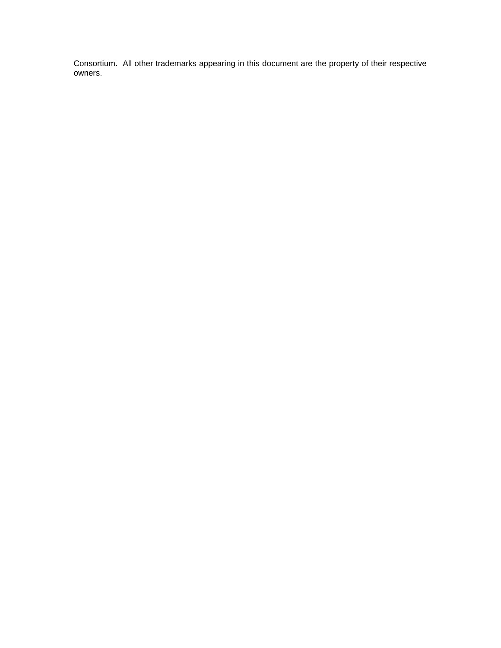Consortium. All other trademarks appearing in this document are the property of their respective owners.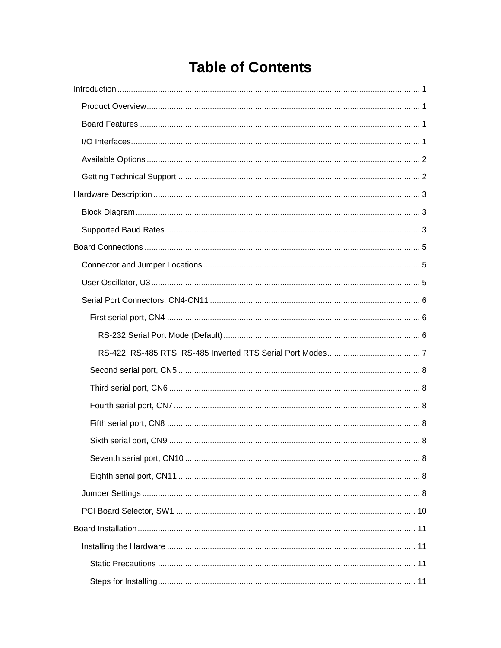# **Table of Contents**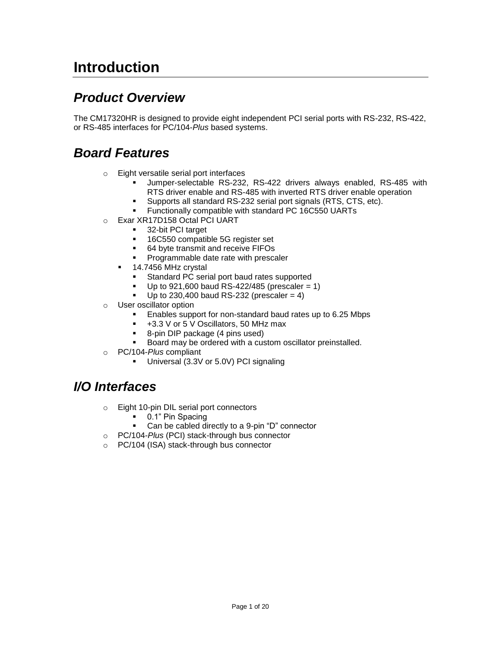# <span id="page-6-0"></span>**Introduction**

#### <span id="page-6-1"></span>*Product Overview*

The CM17320HR is designed to provide eight independent PCI serial ports with RS-232, RS-422, or RS-485 interfaces for PC/104-*Plus* based systems.

#### <span id="page-6-2"></span>*Board Features*

- o Eight versatile serial port interfaces
	- Jumper-selectable RS-232, RS-422 drivers always enabled, RS-485 with RTS driver enable and RS-485 with inverted RTS driver enable operation
	- Supports all standard RS-232 serial port signals (RTS, CTS, etc).
	- Functionally compatible with standard PC 16C550 UARTs
- o Exar XR17D158 Octal PCI UART
	- 32-bit PCI target
	- 16C550 compatible 5G register set
	- 64 byte transmit and receive FIFOs
	- Programmable date rate with prescaler
	- <sup>1</sup> 14.7456 MHz crystal
		- Standard PC serial port baud rates supported
		- $U$ p to 921,600 baud RS-422/485 (prescaler = 1)
		- Up to 230,400 baud RS-232 (prescaler =  $4$ )
- o User oscillator option
	- Enables support for non-standard baud rates up to 6.25 Mbps
	- +3.3 V or 5 V Oscillators, 50 MHz max
	- 8-pin DIP package (4 pins used)
	- Board may be ordered with a custom oscillator preinstalled.
- o PC/104-*Plus* compliant
	- Universal (3.3V or 5.0V) PCI signaling

#### <span id="page-6-3"></span>*I/O Interfaces*

- o Eight 10-pin DIL serial port connectors
	- 0.1" Pin Spacing
	- Can be cabled directly to a 9-pin "D" connector
- o PC/104*-Plus* (PCI) stack-through bus connector
- o PC/104 (ISA) stack-through bus connector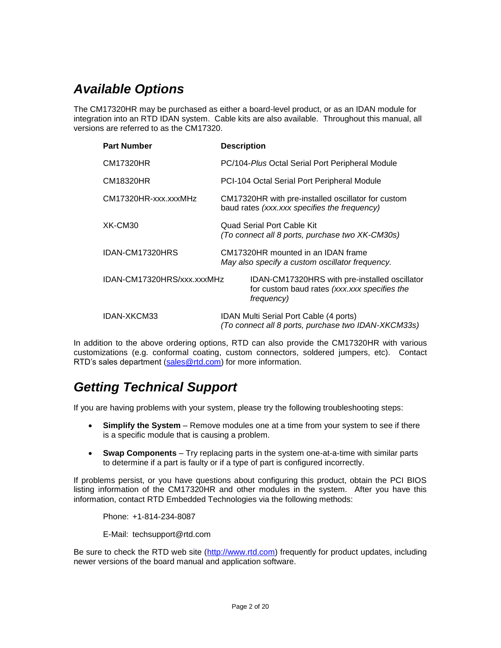### <span id="page-7-0"></span>*Available Options*

The CM17320HR may be purchased as either a board-level product, or as an IDAN module for integration into an RTD IDAN system. Cable kits are also available. Throughout this manual, all versions are referred to as the CM17320.

| <b>Part Number</b>         | <b>Description</b>                                                                                          |  |
|----------------------------|-------------------------------------------------------------------------------------------------------------|--|
| <b>CM17320HR</b>           | PC/104-Plus Octal Serial Port Peripheral Module                                                             |  |
| <b>CM18320HR</b>           | PCI-104 Octal Serial Port Peripheral Module                                                                 |  |
| CM17320HR-xxx.xxxMHz       | CM17320HR with pre-installed oscillator for custom<br>baud rates (xxx.xxx specifies the frequency)          |  |
| XK-CM30                    | <b>Quad Serial Port Cable Kit</b><br>(To connect all 8 ports, purchase two XK-CM30s)                        |  |
| IDAN-CM17320HRS            | CM17320HR mounted in an IDAN frame<br>May also specify a custom oscillator frequency.                       |  |
| IDAN-CM17320HRS/xxx.xxxMHz | IDAN-CM17320HRS with pre-installed oscillator<br>for custom baud rates (xxx.xxx specifies the<br>frequency) |  |
| <b>IDAN-XKCM33</b>         | IDAN Multi Serial Port Cable (4 ports)<br>(To connect all 8 ports, purchase two IDAN-XKCM33s)               |  |

In addition to the above ordering options, RTD can also provide the CM17320HR with various customizations (e.g. conformal coating, custom connectors, soldered jumpers, etc). Contact RTD's sales department [\(sales@rtd.com\)](mailto:sales@rtd.com) for more information.

### <span id="page-7-1"></span>*Getting Technical Support*

If you are having problems with your system, please try the following troubleshooting steps:

- **Simplify the System** Remove modules one at a time from your system to see if there is a specific module that is causing a problem.
- **Swap Components** Try replacing parts in the system one-at-a-time with similar parts to determine if a part is faulty or if a type of part is configured incorrectly.

If problems persist, or you have questions about configuring this product, obtain the PCI BIOS listing information of the CM17320HR and other modules in the system. After you have this information, contact RTD Embedded Technologies via the following methods:

Phone: +1-814-234-8087

E-Mail: [techsupport@rtd.com](mailto:techsupport@rtd.com)

Be sure to check the RTD web site [\(http://www.rtd.com\)](http://www.rtd.com/) frequently for product updates, including newer versions of the board manual and application software.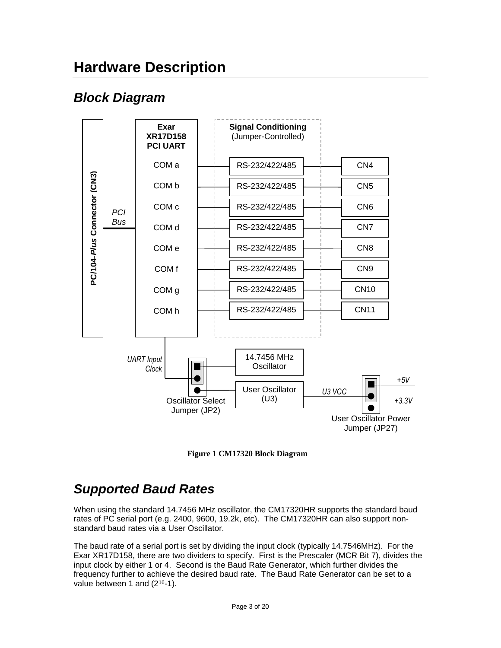# <span id="page-8-0"></span>**Hardware Description**

### <span id="page-8-1"></span>*Block Diagram*



**Figure 1 CM17320 Block Diagram**

## <span id="page-8-2"></span>*Supported Baud Rates*

When using the standard 14.7456 MHz oscillator, the CM17320HR supports the standard baud rates of PC serial port (e.g. 2400, 9600, 19.2k, etc). The CM17320HR can also support nonstandard baud rates via a User Oscillator.

The baud rate of a serial port is set by dividing the input clock (typically 14.7546MHz). For the Exar XR17D158, there are two dividers to specify. First is the Prescaler (MCR Bit 7), divides the input clock by either 1 or 4. Second is the Baud Rate Generator, which further divides the frequency further to achieve the desired baud rate. The Baud Rate Generator can be set to a value between 1 and  $(2^{16}-1)$ .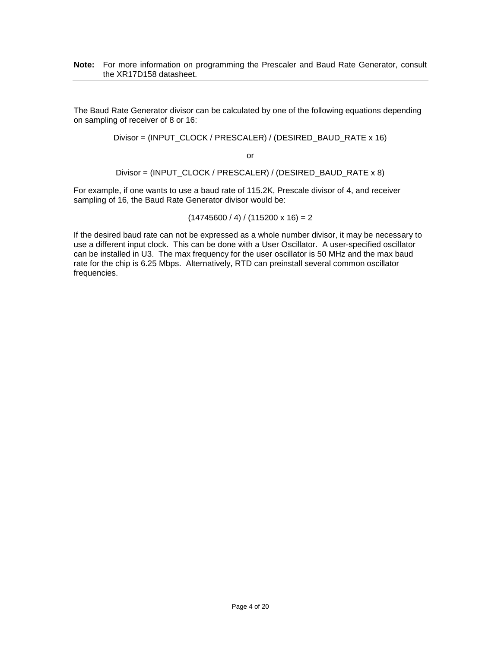#### **Note:** For more information on programming the Prescaler and Baud Rate Generator, consult the XR17D158 datasheet.

The Baud Rate Generator divisor can be calculated by one of the following equations depending on sampling of receiver of 8 or 16:

Divisor = (INPUT\_CLOCK / PRESCALER) / (DESIRED\_BAUD\_RATE x 16)

or

Divisor = (INPUT\_CLOCK / PRESCALER) / (DESIRED\_BAUD\_RATE x 8)

For example, if one wants to use a baud rate of 115.2K, Prescale divisor of 4, and receiver sampling of 16, the Baud Rate Generator divisor would be:

 $(14745600 / 4) / (115200 \times 16) = 2$ 

If the desired baud rate can not be expressed as a whole number divisor, it may be necessary to use a different input clock. This can be done with a User Oscillator. A user-specified oscillator can be installed in U3. The max frequency for the user oscillator is 50 MHz and the max baud rate for the chip is 6.25 Mbps. Alternatively, RTD can preinstall several common oscillator frequencies.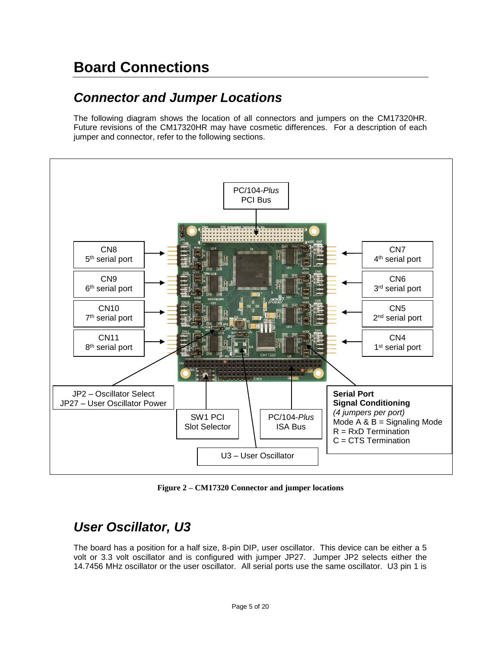# <span id="page-10-0"></span>**Board Connections**

#### <span id="page-10-1"></span>*Connector and Jumper Locations*

The following diagram shows the location of all connectors and jumpers on the CM17320HR. Future revisions of the CM17320HR may have cosmetic differences. For a description of each jumper and connector, refer to the following sections.



**Figure 2 – CM17320 Connector and jumper locations**

### <span id="page-10-2"></span>*User Oscillator, U3*

The board has a position for a half size, 8-pin DIP, user oscillator. This device can be either a 5 volt or 3.3 volt oscillator and is configured with jumper JP27. Jumper JP2 selects either the 14.7456 MHz oscillator or the user oscillator. All serial ports use the same oscillator. U3 pin 1 is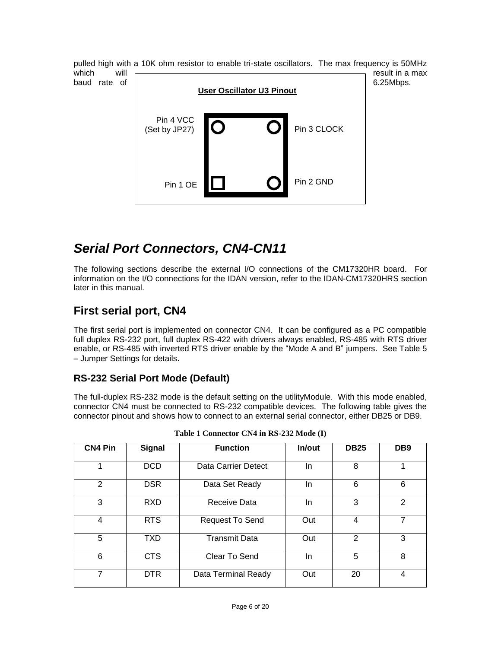pulled high with a 10K ohm resistor to enable tri-state oscillators. The max frequency is 50MHz which will  $\sim$  result in a max baud rate of  $\vert$  6.25Mbps. Pin 1 OE Pin 4 VCC (Set by JP27) Pin 2 GND Pin 3 CLOCK **User Oscillator U3 Pinout**

#### <span id="page-11-0"></span>*Serial Port Connectors, CN4-CN11*

The following sections describe the external I/O connections of the CM17320HR board. For information on the I/O connections for the IDAN version, refer to the IDAN-CM17320HRS section later in this manual.

#### <span id="page-11-1"></span>**First serial port, CN4**

The first serial port is implemented on connector CN4. It can be configured as a PC compatible full duplex RS-232 port, full duplex RS-422 with drivers always enabled, RS-485 with RTS driver enable, or RS-485 with inverted RTS driver enable by the "Mode A and B" jumpers. See [Table 5](#page-14-0) – [Jumper Settings](#page-14-0) for details.

#### <span id="page-11-2"></span>**RS-232 Serial Port Mode (Default)**

The full-duplex RS-232 mode is the default setting on the utilityModule. With this mode enabled, connector CN4 must be connected to RS-232 compatible devices. The following table gives the connector pinout and shows how to connect to an external serial connector, either DB25 or DB9.

| <b>CN4 Pin</b> | <b>Signal</b> | <b>Function</b>      | In/out | <b>DB25</b>   | DB <sub>9</sub> |
|----------------|---------------|----------------------|--------|---------------|-----------------|
| 1              | <b>DCD</b>    | Data Carrier Detect  | In.    | 8             |                 |
| 2              | <b>DSR</b>    | Data Set Ready       | In.    | 6             | 6               |
| 3              | <b>RXD</b>    | Receive Data         | In.    | 3             | 2               |
| 4              | <b>RTS</b>    | Request To Send      | Out    | 4             | 7               |
| 5              | <b>TXD</b>    | <b>Transmit Data</b> | Out    | $\mathcal{P}$ | 3               |
| 6              | <b>CTS</b>    | Clear To Send        | In.    | 5             | 8               |
| 7              | <b>DTR</b>    | Data Terminal Ready  | Out    | 20            | 4               |

**Table 1 Connector CN4 in RS-232 Mode (I)**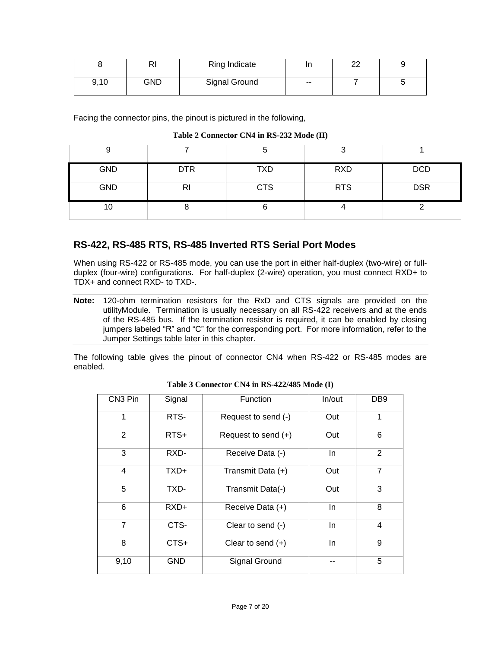|      | D<br>πı | Ring Indicate |       | ົ<br>∠∠ |  |
|------|---------|---------------|-------|---------|--|
| 9,10 | GND     | Signal Ground | $- -$ |         |  |

Facing the connector pins, the pinout is pictured in the following,

#### **Table 2 Connector CN4 in RS-232 Mode (II)**

| У          |            |            |            |            |
|------------|------------|------------|------------|------------|
| <b>GND</b> | <b>DTR</b> | <b>TXD</b> | <b>RXD</b> | <b>DCD</b> |
| <b>GND</b> | RI         | <b>CTS</b> | <b>RTS</b> | <b>DSR</b> |
| 10         |            |            |            |            |

#### <span id="page-12-0"></span>**RS-422, RS-485 RTS, RS-485 Inverted RTS Serial Port Modes**

When using RS-422 or RS-485 mode, you can use the port in either half-duplex (two-wire) or fullduplex (four-wire) configurations. For half-duplex (2-wire) operation, you must connect RXD+ to TDX+ and connect RXD- to TXD-.

The following table gives the pinout of connector CN4 when RS-422 or RS-485 modes are enabled.

| CN3 Pin        | Signal     | <b>Function</b>            | In/out | DB <sub>9</sub> |
|----------------|------------|----------------------------|--------|-----------------|
| 1              | RTS-       | Request to send (-)        | Out    | 1               |
| $\overline{2}$ | RTS+       | Request to send (+)        | Out    | 6               |
| 3              | RXD-       | Receive Data (-)           | In.    | $\overline{2}$  |
| 4              | TXD+       | Transmit Data (+)          | Out    | $\overline{7}$  |
| 5              | TXD-       | Transmit Data(-)<br>Out    |        | 3               |
| 6              | RXD+       | In.<br>Receive Data (+)    |        | 8               |
| $\overline{7}$ | CTS-       | In.<br>Clear to send (-)   |        | 4               |
| 8              | CTS+       | Clear to send $(+)$<br>In. |        | 9               |
| 9,10           | <b>GND</b> | Signal Ground              |        | 5               |

#### **Table 3 Connector CN4 in RS-422/485 Mode (I)**

**Note:** 120-ohm termination resistors for the RxD and CTS signals are provided on the utilityModule. Termination is usually necessary on all RS-422 receivers and at the ends of the RS-485 bus. If the termination resistor is required, it can be enabled by closing jumpers labeled "R" and "C" for the corresponding port. For more information, refer to the Jumper Settings table later in this chapter.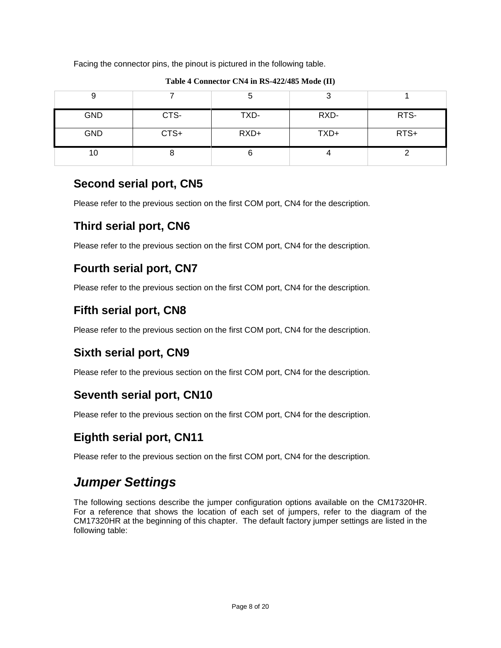Facing the connector pins, the pinout is pictured in the following table.

| <b>GND</b> | CTS- | TXD-   | RXD- | RTS- |
|------------|------|--------|------|------|
| <b>GND</b> | CTS+ | $RXD+$ | TXD+ | RTS+ |
| 10         |      |        |      |      |

**Table 4 Connector CN4 in RS-422/485 Mode (II)**

#### <span id="page-13-0"></span>**Second serial port, CN5**

Please refer to the previous section on the first COM port, CN4 for the description.

#### <span id="page-13-1"></span>**Third serial port, CN6**

Please refer to the previous section on the first COM port, CN4 for the description.

#### <span id="page-13-2"></span>**Fourth serial port, CN7**

Please refer to the previous section on the first COM port, CN4 for the description.

#### <span id="page-13-3"></span>**Fifth serial port, CN8**

Please refer to the previous section on the first COM port, CN4 for the description.

#### <span id="page-13-4"></span>**Sixth serial port, CN9**

Please refer to the previous section on the first COM port, CN4 for the description.

#### <span id="page-13-5"></span>**Seventh serial port, CN10**

Please refer to the previous section on the first COM port, CN4 for the description.

#### <span id="page-13-6"></span>**Eighth serial port, CN11**

Please refer to the previous section on the first COM port, CN4 for the description.

# <span id="page-13-7"></span>*Jumper Settings*

The following sections describe the jumper configuration options available on the CM17320HR. For a reference that shows the location of each set of jumpers, refer to the diagram of the CM17320HR at the beginning of this chapter. The default factory jumper settings are listed in the following table: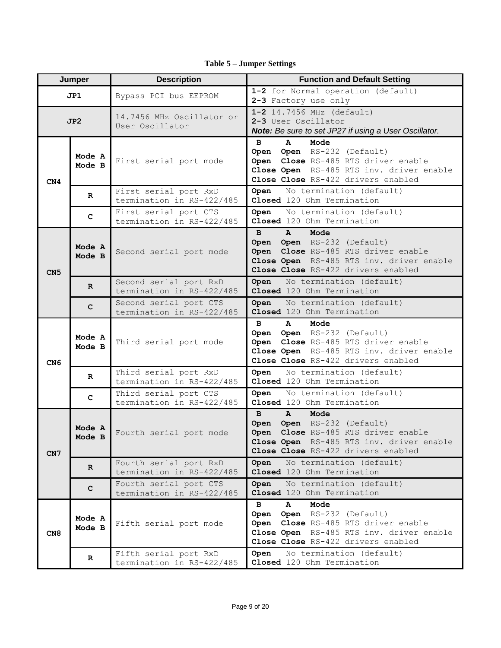<span id="page-14-0"></span>

| Jumper          |                  | <b>Description</b>                                  | <b>Function and Default Setting</b>                                                                                                                                                            |
|-----------------|------------------|-----------------------------------------------------|------------------------------------------------------------------------------------------------------------------------------------------------------------------------------------------------|
| JP1             |                  | Bypass PCI bus EEPROM                               | 1-2 for Normal operation (default)<br>2-3 Factory use only                                                                                                                                     |
| JP2             |                  | 14.7456 MHz Oscillator or<br>User Oscillator        | 1-2 14.7456 MHz (default)<br>2-3 User Oscillator<br>Note: Be sure to set JP27 if using a User Oscillator.                                                                                      |
| CN <sub>4</sub> | Mode A<br>Mode B | First serial port mode                              | Mode<br>в<br>A<br>Open Open RS-232 (Default)<br>Open Close RS-485 RTS driver enable<br>Close Open RS-485 RTS inv. driver enable<br>Close Close RS-422 drivers enabled                          |
|                 | $\mathbf R$      | First serial port RxD<br>termination in RS-422/485  | No termination (default)<br>Open<br>Closed 120 Ohm Termination                                                                                                                                 |
|                 | $\mathbf{C}$     | First serial port CTS<br>termination in RS-422/485  | No termination (default)<br>Open<br>Closed 120 Ohm Termination                                                                                                                                 |
| CN <sub>5</sub> | Mode A<br>Mode B | Second serial port mode                             | $\mathbf{B}$<br>$\mathbf{A}$<br>Mode<br>Open Open RS-232 (Default)<br>Open Close RS-485 RTS driver enable<br>Close Open RS-485 RTS inv. driver enable<br>Close Close RS-422 drivers enabled    |
|                 | $\mathbb{R}$     | Second serial port RxD<br>termination in RS-422/485 | No termination (default)<br>Open<br>Closed 120 Ohm Termination                                                                                                                                 |
|                 | C                | Second serial port CTS<br>termination in RS-422/485 | No termination (default)<br>Open<br>Closed 120 Ohm Termination                                                                                                                                 |
| CN <sub>6</sub> | Mode A<br>Mode B | Third serial port mode                              | Mode<br>в<br>A<br>Open Open RS-232 (Default)<br>Open Close RS-485 RTS driver enable<br>Close Open RS-485 RTS inv. driver enable<br>Close Close RS-422 drivers enabled                          |
|                 | $\mathbf R$      | Third serial port RxD<br>termination in RS-422/485  | No termination (default)<br>Open<br>Closed 120 Ohm Termination                                                                                                                                 |
|                 | C                | Third serial port CTS<br>termination in RS-422/485  | No termination (default)<br>Open<br>Closed 120 Ohm Termination                                                                                                                                 |
| CN7             | Mode A<br>Mode B | Fourth serial port mode                             | $\mathbf{B}$<br>$\mathbf{A}$<br>Mode<br>Open Open RS-232 (Default)<br>Close RS-485 RTS driver enable<br>Open<br>Close Open RS-485 RTS inv. driver enable<br>Close Close RS-422 drivers enabled |
|                 | $\mathbf{R}$     | Fourth serial port RxD<br>termination in RS-422/485 | No termination (default)<br>Open<br>Closed 120 Ohm Termination                                                                                                                                 |
|                 | с                | Fourth serial port CTS<br>termination in RS-422/485 | No termination (default)<br>Open<br>Closed 120 Ohm Termination                                                                                                                                 |
| CN8             | Mode A<br>Mode B | Fifth serial port mode                              | Mode<br>в<br>A<br>Open RS-232 (Default)<br>Open<br>Close RS-485 RTS driver enable<br>Open<br>Close Open RS-485 RTS inv. driver enable<br>Close Close RS-422 drivers enabled                    |
|                 | $\mathbf R$      | Fifth serial port RxD<br>termination in RS-422/485  | No termination (default)<br>Open<br>Closed 120 Ohm Termination                                                                                                                                 |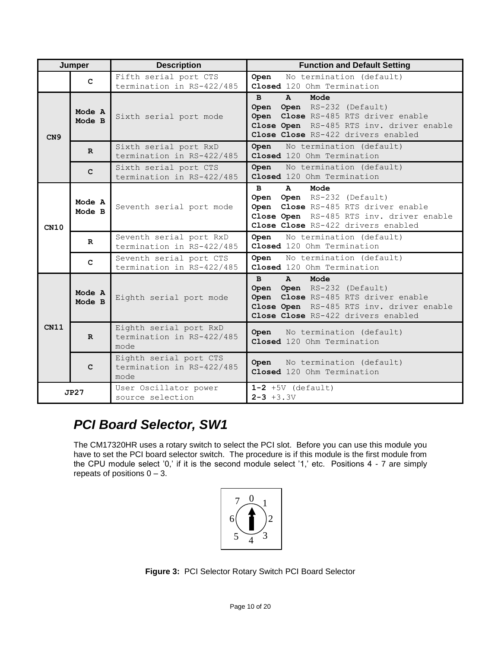|      | Jumper           | <b>Description</b>                                          | <b>Function and Default Setting</b>                                                                                                                                                         |
|------|------------------|-------------------------------------------------------------|---------------------------------------------------------------------------------------------------------------------------------------------------------------------------------------------|
|      | $\mathbf{C}$     | Fifth serial port CTS<br>termination in RS-422/485          | No termination (default)<br>Open<br>Closed 120 Ohm Termination                                                                                                                              |
| CN9  | Mode A<br>Mode B | Sixth serial port mode                                      | Mode<br>$\mathbf{B}$<br>$\mathbf{A}$<br>Open Open RS-232 (Default)<br>Open Close RS-485 RTS driver enable<br>Close Open RS-485 RTS inv. driver enable<br>Close Close RS-422 drivers enabled |
|      | $\mathbf{R}$     | Sixth serial port RxD<br>termination in RS-422/485          | No termination (default)<br>Open<br>Closed 120 Ohm Termination                                                                                                                              |
|      | $\mathbf{C}$     | Sixth serial port CTS<br>termination in RS-422/485          | No termination (default)<br>Open<br>Closed 120 Ohm Termination                                                                                                                              |
| CN10 | Mode A<br>Mode B | Seventh serial port mode                                    | Mode<br>$\mathbf{B}$<br>$\mathbf{A}$<br>Open Open RS-232 (Default)<br>Open Close RS-485 RTS driver enable<br>Close Open RS-485 RTS inv. driver enable<br>Close Close RS-422 drivers enabled |
|      | $\mathbf{R}$     | Seventh serial port RxD<br>termination in RS-422/485        | No termination (default)<br>Open<br>Closed 120 Ohm Termination                                                                                                                              |
|      | $\mathbf{C}$     | Seventh serial port CTS<br>termination in RS-422/485        | Open<br>No termination (default)<br>Closed 120 Ohm Termination                                                                                                                              |
| CN11 | Mode A<br>Mode B | Eighth serial port mode                                     | Mode<br>$\mathbf{B}$<br>$\mathbf{A}$<br>Open Open RS-232 (Default)<br>Open Close RS-485 RTS driver enable<br>Close Open RS-485 RTS inv. driver enable<br>Close Close RS-422 drivers enabled |
|      | $\mathbb{R}$     | Eighth serial port RxD<br>termination in RS-422/485<br>mode | No termination (default)<br>Open<br>Closed 120 Ohm Termination                                                                                                                              |
|      | $\mathbf{C}$     | Eighth serial port CTS<br>termination in RS-422/485<br>mode | No termination (default)<br>Open<br>Closed 120 Ohm Termination                                                                                                                              |
|      | JP27             | User Oscillator power<br>source selection                   | $1-2 +5V$ (default)<br>$2 - 3 + 3.3V$                                                                                                                                                       |

#### <span id="page-15-0"></span>*PCI Board Selector, SW1*

The CM17320HR uses a rotary switch to select the PCI slot. Before you can use this module you have to set the PCI board selector switch. The procedure is if this module is the first module from the CPU module select '0,' if it is the second module select '1,' etc. Positions 4 - 7 are simply repeats of positions  $0 - 3$ .



**Figure 3:** PCI Selector Rotary Switch PCI Board Selector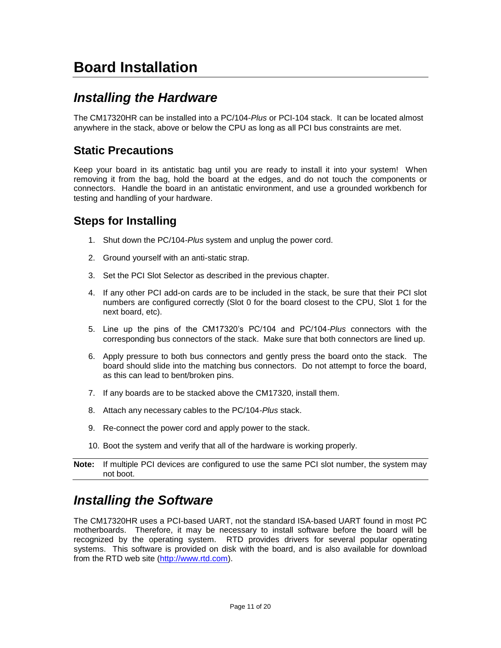# <span id="page-16-0"></span>**Board Installation**

#### <span id="page-16-1"></span>*Installing the Hardware*

The CM17320HR can be installed into a PC/104-*Plus* or PCI-104 stack. It can be located almost anywhere in the stack, above or below the CPU as long as all PCI bus constraints are met.

#### <span id="page-16-2"></span>**Static Precautions**

Keep your board in its antistatic bag until you are ready to install it into your system! When removing it from the bag, hold the board at the edges, and do not touch the components or connectors. Handle the board in an antistatic environment, and use a grounded workbench for testing and handling of your hardware.

#### <span id="page-16-3"></span>**Steps for Installing**

- 1. Shut down the PC/104*-Plus* system and unplug the power cord.
- 2. Ground yourself with an anti-static strap.
- 3. Set the PCI Slot Selector as described in the previous chapter.
- 4. If any other PCI add-on cards are to be included in the stack, be sure that their PCI slot numbers are configured correctly (Slot 0 for the board closest to the CPU, Slot 1 for the next board, etc).
- 5. Line up the pins of the CM17320's PC/104 and PC/104*-Plus* connectors with the corresponding bus connectors of the stack. Make sure that both connectors are lined up.
- 6. Apply pressure to both bus connectors and gently press the board onto the stack. The board should slide into the matching bus connectors. Do not attempt to force the board, as this can lead to bent/broken pins.
- 7. If any boards are to be stacked above the CM17320, install them.
- 8. Attach any necessary cables to the PC/104*-Plus* stack.
- 9. Re-connect the power cord and apply power to the stack.
- 10. Boot the system and verify that all of the hardware is working properly.

#### <span id="page-16-4"></span>*Installing the Software*

The CM17320HR uses a PCI-based UART, not the standard ISA-based UART found in most PC motherboards. Therefore, it may be necessary to install software before the board will be recognized by the operating system. RTD provides drivers for several popular operating systems. This software is provided on disk with the board, and is also available for download from the RTD web site [\(http://www.rtd.com\)](http://www.rtd.com/).

**Note:** If multiple PCI devices are configured to use the same PCI slot number, the system may not boot.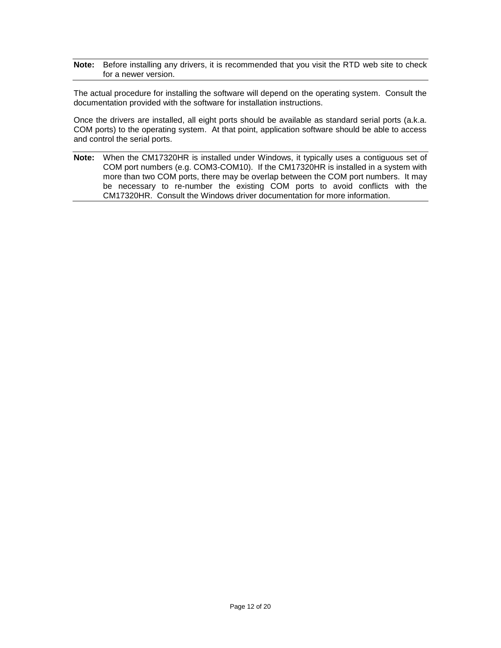**Note:** Before installing any drivers, it is recommended that you visit the RTD web site to check for a newer version.

The actual procedure for installing the software will depend on the operating system. Consult the documentation provided with the software for installation instructions.

Once the drivers are installed, all eight ports should be available as standard serial ports (a.k.a. COM ports) to the operating system. At that point, application software should be able to access and control the serial ports.

**Note:** When the CM17320HR is installed under Windows, it typically uses a contiguous set of COM port numbers (e.g. COM3-COM10). If the CM17320HR is installed in a system with more than two COM ports, there may be overlap between the COM port numbers. It may be necessary to re-number the existing COM ports to avoid conflicts with the CM17320HR. Consult the Windows driver documentation for more information.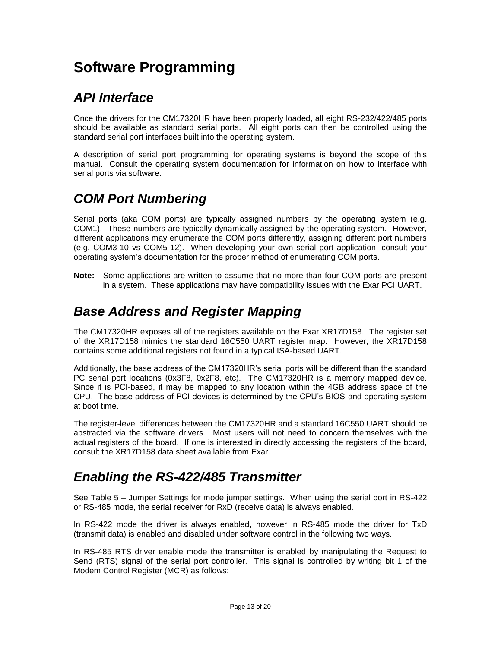### <span id="page-18-1"></span><span id="page-18-0"></span>*API Interface*

Once the drivers for the CM17320HR have been properly loaded, all eight RS-232/422/485 ports should be available as standard serial ports. All eight ports can then be controlled using the standard serial port interfaces built into the operating system.

A description of serial port programming for operating systems is beyond the scope of this manual. Consult the operating system documentation for information on how to interface with serial ports via software.

### <span id="page-18-2"></span>*COM Port Numbering*

Serial ports (aka COM ports) are typically assigned numbers by the operating system (e.g. COM1). These numbers are typically dynamically assigned by the operating system. However, different applications may enumerate the COM ports differently, assigning different port numbers (e.g. COM3-10 vs COM5-12). When developing your own serial port application, consult your operating system's documentation for the proper method of enumerating COM ports.

**Note:** Some applications are written to assume that no more than four COM ports are present in a system. These applications may have compatibility issues with the Exar PCI UART.

#### <span id="page-18-3"></span>*Base Address and Register Mapping*

The CM17320HR exposes all of the registers available on the Exar XR17D158. The register set of the XR17D158 mimics the standard 16C550 UART register map. However, the XR17D158 contains some additional registers not found in a typical ISA-based UART.

Additionally, the base address of the CM17320HR's serial ports will be different than the standard PC serial port locations (0x3F8, 0x2F8, etc). The CM17320HR is a memory mapped device. Since it is PCI-based, it may be mapped to any location within the 4GB address space of the CPU. The base address of PCI devices is determined by the CPU's BIOS and operating system at boot time.

The register-level differences between the CM17320HR and a standard 16C550 UART should be abstracted via the software drivers. Most users will not need to concern themselves with the actual registers of the board. If one is interested in directly accessing the registers of the board, consult the XR17D158 data sheet available from Exar.

#### <span id="page-18-4"></span>*Enabling the RS-422/485 Transmitter*

See Table 5 – [Jumper Settings](#page-14-0) for mode jumper settings. When using the serial port in RS-422 or RS-485 mode, the serial receiver for RxD (receive data) is always enabled.

In RS-422 mode the driver is always enabled, however in RS-485 mode the driver for TxD (transmit data) is enabled and disabled under software control in the following two ways.

In RS-485 RTS driver enable mode the transmitter is enabled by manipulating the Request to Send (RTS) signal of the serial port controller. This signal is controlled by writing bit 1 of the Modem Control Register (MCR) as follows: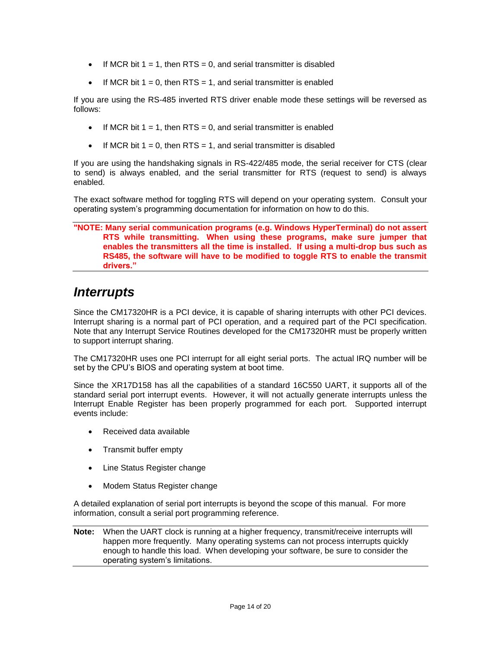- If MCR bit  $1 = 1$ , then RTS = 0, and serial transmitter is disabled
- If MCR bit  $1 = 0$ , then RTS = 1, and serial transmitter is enabled

If you are using the RS-485 inverted RTS driver enable mode these settings will be reversed as follows:

- If MCR bit  $1 = 1$ , then RTS = 0, and serial transmitter is enabled
- If MCR bit  $1 = 0$ , then RTS = 1, and serial transmitter is disabled

If you are using the handshaking signals in RS-422/485 mode, the serial receiver for CTS (clear to send) is always enabled, and the serial transmitter for RTS (request to send) is always enabled.

The exact software method for toggling RTS will depend on your operating system. Consult your operating system's programming documentation for information on how to do this.

#### **"NOTE: Many serial communication programs (e.g. Windows HyperTerminal) do not assert RTS while transmitting. When using these programs, make sure jumper that enables the transmitters all the time is installed. If using a multi-drop bus such as RS485, the software will have to be modified to toggle RTS to enable the transmit drivers."**

#### <span id="page-19-0"></span>*Interrupts*

Since the CM17320HR is a PCI device, it is capable of sharing interrupts with other PCI devices. Interrupt sharing is a normal part of PCI operation, and a required part of the PCI specification. Note that any Interrupt Service Routines developed for the CM17320HR must be properly written to support interrupt sharing.

The CM17320HR uses one PCI interrupt for all eight serial ports. The actual IRQ number will be set by the CPU's BIOS and operating system at boot time.

Since the XR17D158 has all the capabilities of a standard 16C550 UART, it supports all of the standard serial port interrupt events. However, it will not actually generate interrupts unless the Interrupt Enable Register has been properly programmed for each port. Supported interrupt events include:

- Received data available
- Transmit buffer empty
- Line Status Register change
- Modem Status Register change

A detailed explanation of serial port interrupts is beyond the scope of this manual. For more information, consult a serial port programming reference.

**Note:** When the UART clock is running at a higher frequency, transmit/receive interrupts will happen more frequently. Many operating systems can not process interrupts quickly enough to handle this load. When developing your software, be sure to consider the operating system's limitations.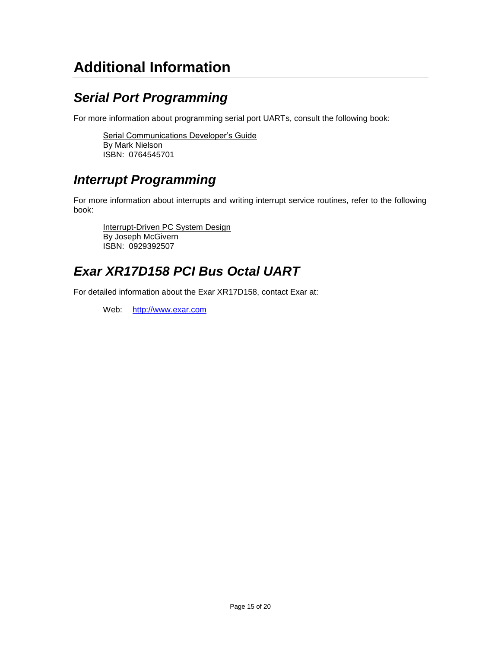# <span id="page-20-0"></span>**Additional Information**

### <span id="page-20-1"></span>*Serial Port Programming*

For more information about programming serial port UARTs, consult the following book:

Serial Communications Developer's Guide By Mark Nielson ISBN: 0764545701

#### <span id="page-20-2"></span>*Interrupt Programming*

For more information about interrupts and writing interrupt service routines, refer to the following book:

Interrupt-Driven PC System Design By Joseph McGivern ISBN: 0929392507

#### <span id="page-20-3"></span>*Exar XR17D158 PCI Bus Octal UART*

For detailed information about the Exar XR17D158, contact Exar at:

Web: [http://www.exar.com](http://www.exar.com/)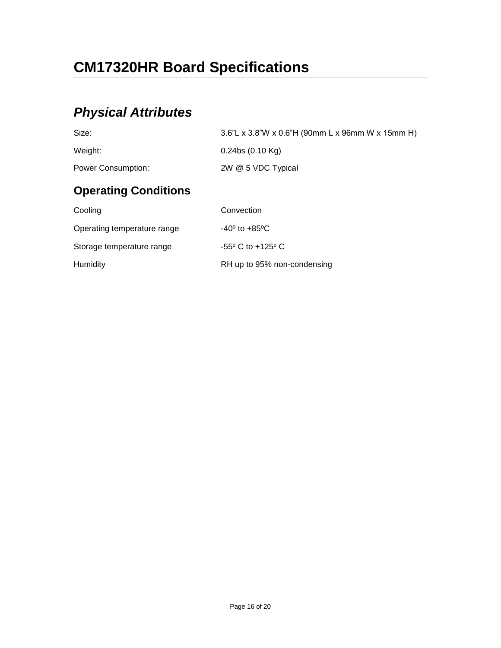# <span id="page-21-0"></span>**CM17320HR Board Specifications**

## <span id="page-21-1"></span>*Physical Attributes*

<span id="page-21-2"></span>

| Size:                       | 3.6"L x 3.8"W x 0.6"H (90mm L x 96mm W x 15mm H) |
|-----------------------------|--------------------------------------------------|
| Weight:                     | $0.24$ bs $(0.10$ Kg)                            |
| <b>Power Consumption:</b>   | 2W @ 5 VDC Typical                               |
| <b>Operating Conditions</b> |                                                  |
| Cooling                     | Convection                                       |
| Operating temperature range | $-40^{\circ}$ to $+85^{\circ}$ C                 |
| Storage temperature range   | $-55^{\circ}$ C to $+125^{\circ}$ C              |
| Humidity                    | RH up to 95% non-condensing                      |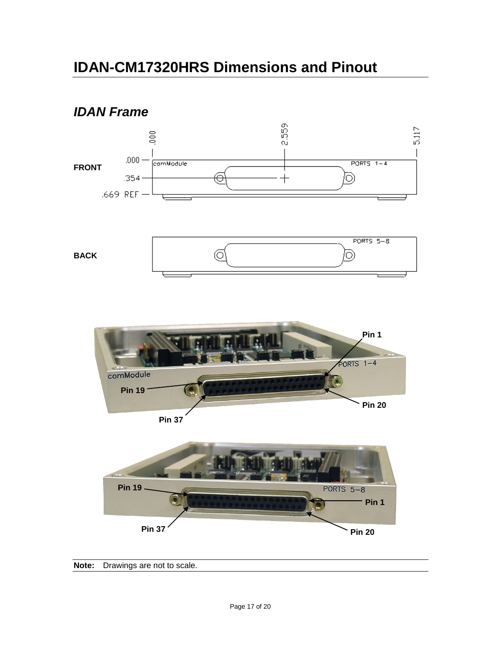# <span id="page-22-0"></span>**IDAN-CM17320HRS Dimensions and Pinout**

#### <span id="page-22-1"></span>*IDAN Frame*



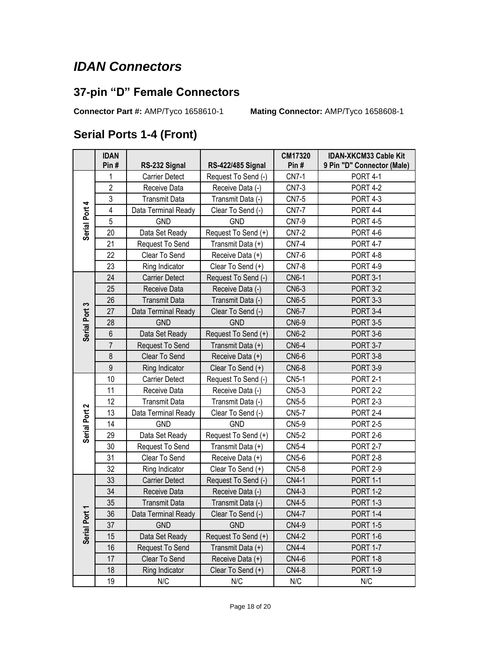#### <span id="page-23-0"></span>*IDAN Connectors*

#### <span id="page-23-1"></span>**37-pin "D" Female Connectors**

**Connector Part #:** AMP/Tyco 1658610-1 **Mating Connector:** AMP/Tyco 1658608-1

#### <span id="page-23-2"></span>**Serial Ports 1-4 (Front)**

|                                      | <b>IDAN</b>    |                       |                          | CM17320      | <b>IDAN-XKCM33 Cable Kit</b> |
|--------------------------------------|----------------|-----------------------|--------------------------|--------------|------------------------------|
|                                      | Pin#           | RS-232 Signal         | <b>RS-422/485 Signal</b> | Pin#         | 9 Pin "D" Connector (Male)   |
| Serial Port 4                        | 1              | <b>Carrier Detect</b> | Request To Send (-)      | <b>CN7-1</b> | <b>PORT 4-1</b>              |
|                                      | $\overline{2}$ | Receive Data          | Receive Data (-)         | <b>CN7-3</b> | <b>PORT 4-2</b>              |
|                                      | $\mathsf 3$    | <b>Transmit Data</b>  | Transmit Data (-)        | <b>CN7-5</b> | <b>PORT 4-3</b>              |
|                                      | $\overline{4}$ | Data Terminal Ready   | Clear To Send (-)        | <b>CN7-7</b> | <b>PORT 4-4</b>              |
|                                      | 5              | <b>GND</b>            | <b>GND</b>               | <b>CN7-9</b> | <b>PORT 4-5</b>              |
|                                      | 20             | Data Set Ready        | Request To Send (+)      | <b>CN7-2</b> | <b>PORT 4-6</b>              |
|                                      | 21             | Request To Send       | Transmit Data (+)        | <b>CN7-4</b> | <b>PORT 4-7</b>              |
|                                      | 22             | Clear To Send         | Receive Data (+)         | <b>CN7-6</b> | <b>PORT 4-8</b>              |
|                                      | 23             | Ring Indicator        | Clear To Send (+)        | <b>CN7-8</b> | <b>PORT 4-9</b>              |
|                                      | 24             | <b>Carrier Detect</b> | Request To Send (-)      | <b>CN6-1</b> | <b>PORT 3-1</b>              |
|                                      | 25             | Receive Data          | Receive Data (-)         | <b>CN6-3</b> | <b>PORT 3-2</b>              |
|                                      | 26             | <b>Transmit Data</b>  | Transmit Data (-)        | <b>CN6-5</b> | <b>PORT 3-3</b>              |
|                                      | 27             | Data Terminal Ready   | Clear To Send (-)        | <b>CN6-7</b> | <b>PORT 3-4</b>              |
| Serial Port 3                        | 28             | <b>GND</b>            | <b>GND</b>               | <b>CN6-9</b> | <b>PORT 3-5</b>              |
|                                      | $6\,$          | Data Set Ready        | Request To Send (+)      | <b>CN6-2</b> | <b>PORT 3-6</b>              |
|                                      | $\overline{7}$ | Request To Send       | Transmit Data (+)        | <b>CN6-4</b> | <b>PORT 3-7</b>              |
|                                      | 8              | Clear To Send         | Receive Data (+)         | <b>CN6-6</b> | <b>PORT 3-8</b>              |
|                                      | $\overline{9}$ | Ring Indicator        | Clear To Send (+)        | <b>CN6-8</b> | <b>PORT 3-9</b>              |
|                                      | 10             | <b>Carrier Detect</b> | Request To Send (-)      | <b>CN5-1</b> | <b>PORT 2-1</b>              |
|                                      | 11             | Receive Data          | Receive Data (-)         | CN5-3        | <b>PORT 2-2</b>              |
|                                      | 12             | <b>Transmit Data</b>  | Transmit Data (-)        | CN5-5        | <b>PORT 2-3</b>              |
| Serial Port 2                        | 13             | Data Terminal Ready   | Clear To Send (-)        | <b>CN5-7</b> | <b>PORT 2-4</b>              |
|                                      | 14             | <b>GND</b>            | <b>GND</b>               | <b>CN5-9</b> | <b>PORT 2-5</b>              |
|                                      | 29             | Data Set Ready        | Request To Send (+)      | <b>CN5-2</b> | <b>PORT 2-6</b>              |
|                                      | 30             | Request To Send       | Transmit Data (+)        | <b>CN5-4</b> | <b>PORT 2-7</b>              |
|                                      | 31             | Clear To Send         | Receive Data (+)         | CN5-6        | <b>PORT 2-8</b>              |
|                                      | 32             | Ring Indicator        | Clear To Send (+)        | CN5-8        | <b>PORT 2-9</b>              |
| $\overline{\mathbf{r}}$<br>Serial Po | 33             | <b>Carrier Detect</b> | Request To Send (-)      | <b>CN4-1</b> | <b>PORT 1-1</b>              |
|                                      | 34             | Receive Data          | Receive Data (-)         | <b>CN4-3</b> | <b>PORT 1-2</b>              |
|                                      | 35             | <b>Transmit Data</b>  | Transmit Data (-)        | <b>CN4-5</b> | <b>PORT 1-3</b>              |
|                                      | 36             | Data Terminal Ready   | Clear To Send (-)        | <b>CN4-7</b> | <b>PORT 1-4</b>              |
|                                      | 37             | <b>GND</b>            | <b>GND</b>               | <b>CN4-9</b> | <b>PORT 1-5</b>              |
|                                      | 15             | Data Set Ready        | Request To Send (+)      | <b>CN4-2</b> | <b>PORT 1-6</b>              |
|                                      | 16             | Request To Send       | Transmit Data (+)        | <b>CN4-4</b> | <b>PORT 1-7</b>              |
|                                      | 17             | Clear To Send         | Receive Data (+)         | <b>CN4-6</b> | <b>PORT 1-8</b>              |
|                                      | 18             | Ring Indicator        | Clear To Send (+)        | <b>CN4-8</b> | <b>PORT 1-9</b>              |
|                                      | 19             | N/C                   | N/C                      | N/C          | N/C                          |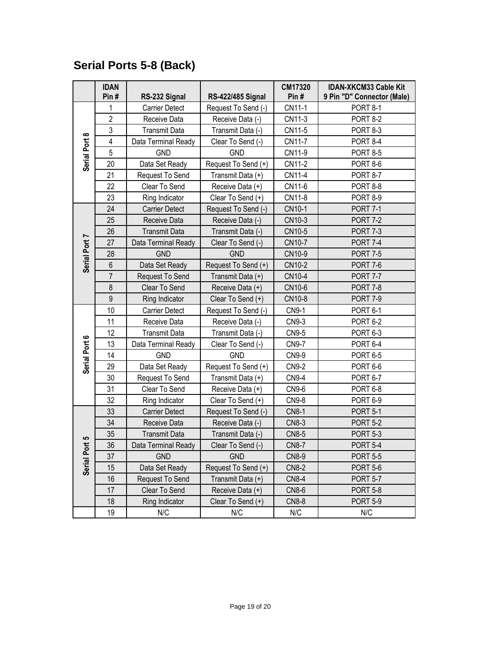#### <span id="page-24-0"></span>**Serial Ports 5-8 (Back)**

| <b>IDAN</b><br>CM17320<br>Pin#<br>Pin#<br>RS-232 Signal<br>RS-422/485 Signal    | <b>IDAN-XKCM33 Cable Kit</b><br>9 Pin "D" Connector (Male) |
|---------------------------------------------------------------------------------|------------------------------------------------------------|
| CN11-1<br>Request To Send (-)<br>1<br><b>Carrier Detect</b>                     | <b>PORT 8-1</b>                                            |
| $\overline{2}$<br>CN11-3<br>Receive Data<br>Receive Data (-)                    | <b>PORT 8-2</b>                                            |
| 3<br><b>Transmit Data</b><br>Transmit Data (-)<br>CN11-5                        | <b>PORT 8-3</b>                                            |
| 4<br>CN11-7                                                                     |                                                            |
| Data Terminal Ready<br>Clear To Send (-)<br>5<br><b>GND</b>                     | <b>PORT 8-4</b>                                            |
| Serial Port 8<br>CN11-9<br><b>GND</b>                                           | <b>PORT 8-5</b>                                            |
| 20<br>Data Set Ready<br>Request To Send (+)<br>CN11-2                           | <b>PORT 8-6</b>                                            |
| 21<br>CN11-4<br>Request To Send<br>Transmit Data (+)                            | <b>PORT 8-7</b>                                            |
| 22<br>CN11-6<br>Clear To Send<br>Receive Data (+)                               | PORT 8-8                                                   |
| 23<br>CN11-8<br>Ring Indicator<br>Clear To Send (+)                             | <b>PORT 8-9</b>                                            |
| 24<br><b>Carrier Detect</b><br>Request To Send (-)<br>CN10-1                    | <b>PORT 7-1</b>                                            |
| 25<br>CN10-3<br>Receive Data<br>Receive Data (-)                                | <b>PORT 7-2</b>                                            |
| 26<br>CN10-5<br><b>Transmit Data</b><br>Transmit Data (-)                       | <b>PORT 7-3</b>                                            |
| CN10-7<br>27<br>Data Terminal Ready<br>Clear To Send (-)                        | <b>PORT 7-4</b>                                            |
| Serial Port 7<br>28<br><b>GND</b><br><b>GND</b><br>CN10-9                       | <b>PORT 7-5</b>                                            |
| $6\phantom{a}$<br>Data Set Ready<br>Request To Send (+)<br>CN10-2               | <b>PORT 7-6</b>                                            |
| $\overline{7}$<br>CN10-4<br>Request To Send<br>Transmit Data (+)                | <b>PORT 7-7</b>                                            |
| 8<br>Clear To Send<br>CN10-6<br>Receive Data (+)                                | <b>PORT 7-8</b>                                            |
| 9<br>CN10-8<br>Ring Indicator<br>Clear To Send (+)                              | <b>PORT 7-9</b>                                            |
| 10<br><b>CN9-1</b><br><b>Carrier Detect</b><br>Request To Send (-)              | PORT 6-1                                                   |
| 11<br>CN9-3<br>Receive Data<br>Receive Data (-)                                 | <b>PORT 6-2</b>                                            |
| 12<br><b>Transmit Data</b><br>Transmit Data (-)<br>CN9-5                        | PORT 6-3                                                   |
| Serial Port 6<br>13<br>Data Terminal Ready<br><b>CN9-7</b><br>Clear To Send (-) | PORT 6-4                                                   |
| 14<br><b>GND</b><br><b>GND</b><br>CN9-9                                         | <b>PORT 6-5</b>                                            |
| 29<br><b>CN9-2</b><br>Data Set Ready<br>Request To Send (+)                     | PORT 6-6                                                   |
| 30<br>Request To Send<br><b>CN9-4</b><br>Transmit Data (+)                      | PORT 6-7                                                   |
| 31<br>Clear To Send<br>CN9-6<br>Receive Data (+)                                | PORT 6-8                                                   |
| 32<br>Clear To Send (+)<br>Ring Indicator<br><b>CN9-8</b>                       | PORT 6-9                                                   |
| <b>CN8-1</b><br>33<br>Request To Send (-)<br><b>Carrier Detect</b>              | <b>PORT 5-1</b>                                            |
| 34<br><b>CN8-3</b><br>Receive Data<br>Receive Data (-)                          | <b>PORT 5-2</b>                                            |
| 35<br><b>Transmit Data</b><br>Transmit Data (-)<br><b>CN8-5</b>                 | <b>PORT 5-3</b>                                            |
| ြ<br>ゼ<br>36<br><b>CN8-7</b><br>Data Terminal Ready<br>Clear To Send (-)        | <b>PORT 5-4</b>                                            |
| 37<br><b>GND</b><br><b>GND</b><br><b>CN8-9</b>                                  | <b>PORT 5-5</b>                                            |
| Serial Po<br>15<br>Data Set Ready<br>Request To Send (+)<br><b>CN8-2</b>        | <b>PORT 5-6</b>                                            |
| 16<br>Request To Send<br>Transmit Data (+)<br><b>CN8-4</b>                      | <b>PORT 5-7</b>                                            |
| 17<br>Clear To Send<br>Receive Data (+)<br><b>CN8-6</b>                         | <b>PORT 5-8</b>                                            |
| 18<br>Ring Indicator<br><b>CN8-8</b><br>Clear To Send $(+)$                     | <b>PORT 5-9</b>                                            |
| 19<br>N/C<br>N/C<br>N/C                                                         | N/C                                                        |